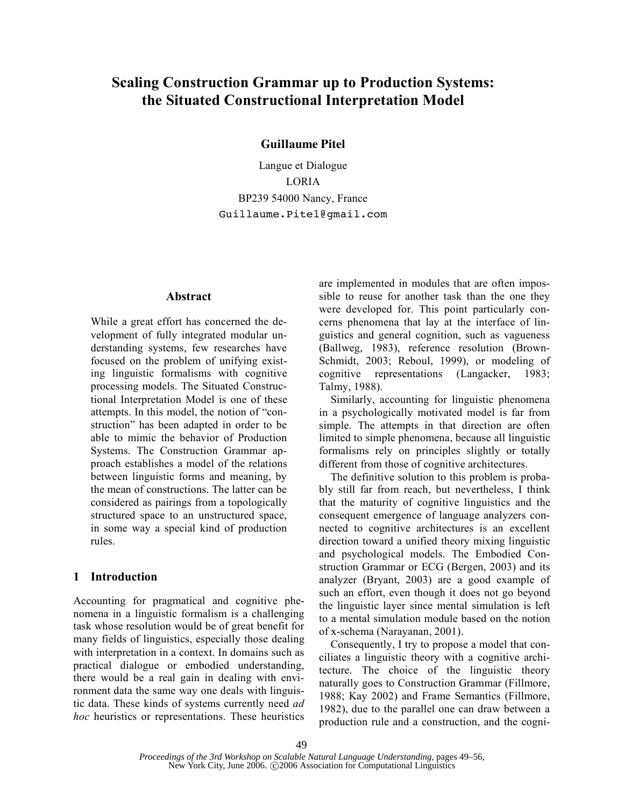# **Scaling Construction Grammar up to Production Systems: the Situated Constructional Interpretation Model**

**Guillaume Pitel**

Langue et Dialogue LORIA BP239 54000 Nancy, France Guillaume.Pitel@gmail.com

# **Abstract**

While a great effort has concerned the development of fully integrated modular understanding systems, few researches have focused on the problem of unifying existing linguistic formalisms with cognitive processing models. The Situated Constructional Interpretation Model is one of these attempts. In this model, the notion of "construction" has been adapted in order to be able to mimic the behavior of Production Systems. The Construction Grammar approach establishes a model of the relations between linguistic forms and meaning, by the mean of constructions. The latter can be considered as pairings from a topologically structured space to an unstructured space, in some way a special kind of production rules.

## **1 Introduction**

Accounting for pragmatical and cognitive phenomena in a linguistic formalism is a challenging task whose resolution would be of great benefit for many fields of linguistics, especially those dealing with interpretation in a context. In domains such as practical dialogue or embodied understanding, there would be a real gain in dealing with environment data the same way one deals with linguistic data. These kinds of systems currently need *ad hoc* heuristics or representations. These heuristics are implemented in modules that are often impossible to reuse for another task than the one they were developed for. This point particularly concerns phenomena that lay at the interface of linguistics and general cognition, such as vagueness (Ballweg, 1983), reference resolution (Brown-Schmidt, 2003; Reboul, 1999), or modeling of cognitive representations (Langacker, 1983; Talmy, 1988).

Similarly, accounting for linguistic phenomena in a psychologically motivated model is far from simple. The attempts in that direction are often limited to simple phenomena, because all linguistic formalisms rely on principles slightly or totally different from those of cognitive architectures.

The definitive solution to this problem is probably still far from reach, but nevertheless, I think that the maturity of cognitive linguistics and the consequent emergence of language analyzers connected to cognitive architectures is an excellent direction toward a unified theory mixing linguistic and psychological models. The Embodied Construction Grammar or ECG (Bergen, 2003) and its analyzer (Bryant, 2003) are a good example of such an effort, even though it does not go beyond the linguistic layer since mental simulation is left to a mental simulation module based on the notion of x-schema (Narayanan, 2001).

Consequently, I try to propose a model that conciliates a linguistic theory with a cognitive architecture. The choice of the linguistic theory naturally goes to Construction Grammar (Fillmore, 1988; Kay 2002) and Frame Semantics (Fillmore, 1982), due to the parallel one can draw between a production rule and a construction, and the cogni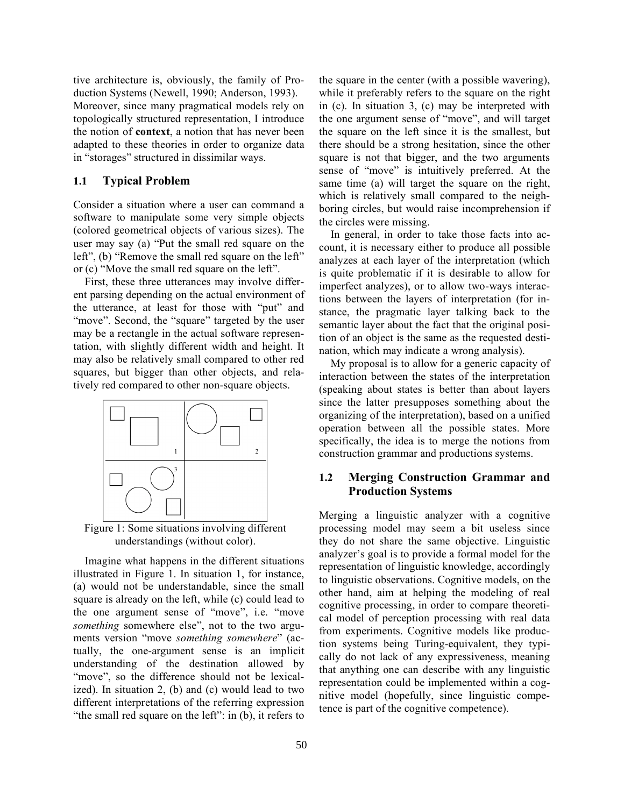tive architecture is, obviously, the family of Production Systems (Newell, 1990; Anderson, 1993). Moreover, since many pragmatical models rely on topologically structured representation, I introduce the notion of **context**, a notion that has never been adapted to these theories in order to organize data in "storages" structured in dissimilar ways.

### **1.1 Typical Problem**

Consider a situation where a user can command a software to manipulate some very simple objects (colored geometrical objects of various sizes). The user may say (a) "Put the small red square on the left", (b) "Remove the small red square on the left" or (c) "Move the small red square on the left".

First, these three utterances may involve different parsing depending on the actual environment of the utterance, at least for those with "put" and "move". Second, the "square" targeted by the user may be a rectangle in the actual software representation, with slightly different width and height. It may also be relatively small compared to other red squares, but bigger than other objects, and relatively red compared to other non-square objects.



Figure 1: Some situations involving different understandings (without color).

Imagine what happens in the different situations illustrated in Figure 1. In situation 1, for instance, (a) would not be understandable, since the small square is already on the left, while (c) could lead to the one argument sense of "move", i.e. "move *something* somewhere else", not to the two arguments version "move *something somewhere*" (actually, the one-argument sense is an implicit understanding of the destination allowed by "move", so the difference should not be lexicalized). In situation 2, (b) and (c) would lead to two different interpretations of the referring expression "the small red square on the left": in (b), it refers to the square in the center (with a possible wavering), while it preferably refers to the square on the right in (c). In situation 3, (c) may be interpreted with the one argument sense of "move", and will target the square on the left since it is the smallest, but there should be a strong hesitation, since the other square is not that bigger, and the two arguments sense of "move" is intuitively preferred. At the same time (a) will target the square on the right, which is relatively small compared to the neighboring circles, but would raise incomprehension if the circles were missing.

In general, in order to take those facts into account, it is necessary either to produce all possible analyzes at each layer of the interpretation (which is quite problematic if it is desirable to allow for imperfect analyzes), or to allow two-ways interactions between the layers of interpretation (for instance, the pragmatic layer talking back to the semantic layer about the fact that the original position of an object is the same as the requested destination, which may indicate a wrong analysis).

My proposal is to allow for a generic capacity of interaction between the states of the interpretation (speaking about states is better than about layers since the latter presupposes something about the organizing of the interpretation), based on a unified operation between all the possible states. More specifically, the idea is to merge the notions from construction grammar and productions systems.

# **1.2 Merging Construction Grammar and Production Systems**

Merging a linguistic analyzer with a cognitive processing model may seem a bit useless since they do not share the same objective. Linguistic analyzer's goal is to provide a formal model for the representation of linguistic knowledge, accordingly to linguistic observations. Cognitive models, on the other hand, aim at helping the modeling of real cognitive processing, in order to compare theoretical model of perception processing with real data from experiments. Cognitive models like production systems being Turing-equivalent, they typically do not lack of any expressiveness, meaning that anything one can describe with any linguistic representation could be implemented within a cognitive model (hopefully, since linguistic competence is part of the cognitive competence).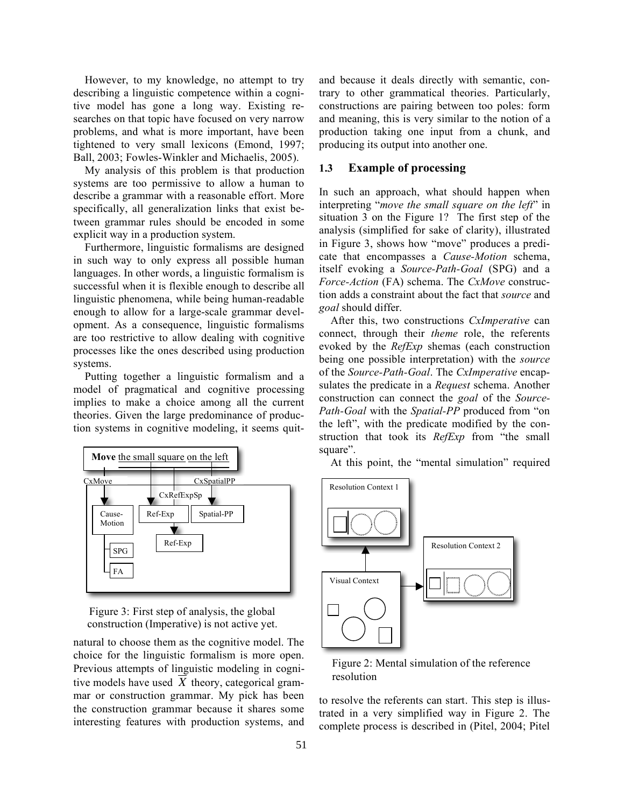However, to my knowledge, no attempt to try describing a linguistic competence within a cognitive model has gone a long way. Existing researches on that topic have focused on very narrow problems, and what is more important, have been tightened to very small lexicons (Emond, 1997; Ball, 2003; Fowles-Winkler and Michaelis, 2005).

My analysis of this problem is that production systems are too permissive to allow a human to describe a grammar with a reasonable effort. More specifically, all generalization links that exist between grammar rules should be encoded in some explicit way in a production system.

Furthermore, linguistic formalisms are designed in such way to only express all possible human languages. In other words, a linguistic formalism is successful when it is flexible enough to describe all linguistic phenomena, while being human-readable enough to allow for a large-scale grammar development. As a consequence, linguistic formalisms are too restrictive to allow dealing with cognitive processes like the ones described using production systems.

Putting together a linguistic formalism and a model of pragmatical and cognitive processing implies to make a choice among all the current theories. Given the large predominance of production systems in cognitive modeling, it seems quit-





natural to choose them as the cognitive model. The choice for the linguistic formalism is more open. Previous attempts of linguistic modeling in cognitive models have used *X* theory, categorical grammar or construction grammar. My pick has been the construction grammar because it shares some interesting features with production systems, and and because it deals directly with semantic, contrary to other grammatical theories. Particularly, constructions are pairing between too poles: form and meaning, this is very similar to the notion of a production taking one input from a chunk, and producing its output into another one.

# **1.3 Example of processing**

In such an approach, what should happen when interpreting "*move the small square on the left*" in situation 3 on the Figure 1? The first step of the analysis (simplified for sake of clarity), illustrated in Figure 3, shows how "move" produces a predicate that encompasses a *Cause-Motion* schema, itself evoking a *Source-Path-Goal* (SPG) and a *Force-Action* (FA) schema. The *CxMove* construction adds a constraint about the fact that *source* and *goal* should differ.

After this, two constructions *CxImperative* can connect, through their *theme* role, the referents evoked by the *RefExp* shemas (each construction being one possible interpretation) with the *source* of the *Source-Path-Goal*. The *CxImperative* encapsulates the predicate in a *Request* schema. Another construction can connect the *goal* of the *Source-Path-Goal* with the *Spatial-PP* produced from "on the left", with the predicate modified by the construction that took its *RefExp* from "the small square".

At this point, the "mental simulation" required



#### Figure 2: Mental simulation of the reference resolution

to resolve the referents can start. This step is illustrated in a very simplified way in Figure 2. The complete process is described in (Pitel, 2004; Pitel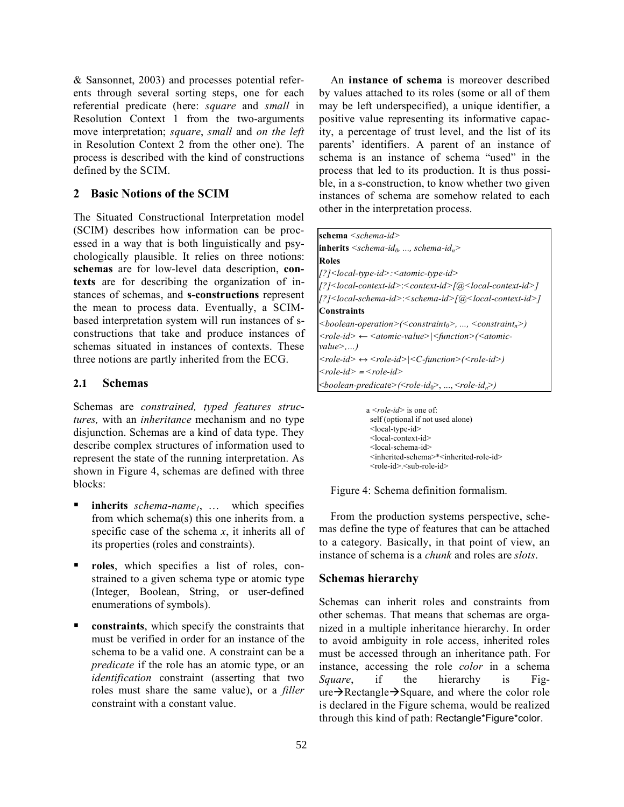& Sansonnet, 2003) and processes potential referents through several sorting steps, one for each referential predicate (here: *square* and *small* in Resolution Context 1 from the two-arguments move interpretation; *square*, *small* and *on the left* in Resolution Context 2 from the other one). The process is described with the kind of constructions defined by the SCIM.

# **2 Basic Notions of the SCIM**

The Situated Constructional Interpretation model (SCIM) describes how information can be processed in a way that is both linguistically and psychologically plausible. It relies on three notions: **schemas** are for low-level data description, **contexts** are for describing the organization of instances of schemas, and **s-constructions** represent the mean to process data. Eventually, a SCIMbased interpretation system will run instances of sconstructions that take and produce instances of schemas situated in instances of contexts. These three notions are partly inherited from the ECG.

### **2.1 Schemas**

Schemas are *constrained, typed features structures,* with an *inheritance* mechanism and no type disjunction. Schemas are a kind of data type. They describe complex structures of information used to represent the state of the running interpretation. As shown in Figure 4, schemas are defined with three blocks:

- **inherits** *schema-name<sub>1</sub>*, ... which specifies from which schema(s) this one inherits from. a specific case of the schema  $x$ , it inherits all of its properties (roles and constraints).
- **roles**, which specifies a list of roles, constrained to a given schema type or atomic type (Integer, Boolean, String, or user-defined enumerations of symbols).
- **constraints**, which specify the constraints that must be verified in order for an instance of the schema to be a valid one. A constraint can be a *predicate* if the role has an atomic type, or an *identification* constraint (asserting that two roles must share the same value), or a *filler* constraint with a constant value.

An **instance of schema** is moreover described by values attached to its roles (some or all of them may be left underspecified), a unique identifier, a positive value representing its informative capacity, a percentage of trust level, and the list of its parents' identifiers. A parent of an instance of schema is an instance of schema "used" in the process that led to its production. It is thus possible, in a s-construction, to know whether two given instances of schema are somehow related to each other in the interpretation process.

| schema $\leq$ schema-id>                                                                                                        |
|---------------------------------------------------------------------------------------------------------------------------------|
| <b>inherits</b> $\leq$ schema-id <sub>0</sub> , , schema-id <sub>n</sub>                                                        |
| <b>Roles</b>                                                                                                                    |
| /?] <local-type-id>:<atomic-type-id></atomic-type-id></local-type-id>                                                           |
| [?] <local-context-id>:<context-id>[@<local-context-id>]</local-context-id></context-id></local-context-id>                     |
| [?] <local-schema-id>:<schema-id>[@<local-context-id>]</local-context-id></schema-id></local-schema-id>                         |
| <b>Constraints</b>                                                                                                              |
| $\langle$ boolean-operation> $(\langle \text{constraint}_0 \rangle, , \langle \text{constraint}_n \rangle)$                     |
| $\langle$ role-id> $\leftarrow$ <atomic-value><math> \langle</math>function&gt;<math>(\langle</math>atomic-</atomic-value>      |
| value >                                                                                                                         |
| $\langle$ role-id> $\leftrightarrow$ $\langle$ role-id> $ \langle C \text{-}function \rangle$ $(\langle$ role-id>)              |
| $<$ role-id $>$ = $<$ role-id $>$                                                                                               |
| $\langle$ boolean-predicate $\rangle$ ( $\langle$ role-id <sub>0</sub> $\rangle$ , , $\langle$ role-id <sub>n</sub> $\rangle$ ) |

a *<role-id>* is one of: self (optional if not used alone) <local-type-id> <local-context-id> <local-schema-id> <inherited-schema>\*<inherited-role-id>  $\langle$ role-id $\rangle$  $\langle$ sub-role-id $\rangle$ 

Figure 4: Schema definition formalism.

From the production systems perspective, schemas define the type of features that can be attached to a category*.* Basically, in that point of view, an instance of schema is a *chunk* and roles are *slots*.

### **Schemas hierarchy**

Schemas can inherit roles and constraints from other schemas. That means that schemas are organized in a multiple inheritance hierarchy. In order to avoid ambiguity in role access, inherited roles must be accessed through an inheritance path. For instance, accessing the role *color* in a schema *Square*, if the hierarchy is Fig $ure\rightarrow$ Rectangle $\rightarrow$ Square, and where the color role is declared in the Figure schema, would be realized through this kind of path: Rectangle\*Figure\*color.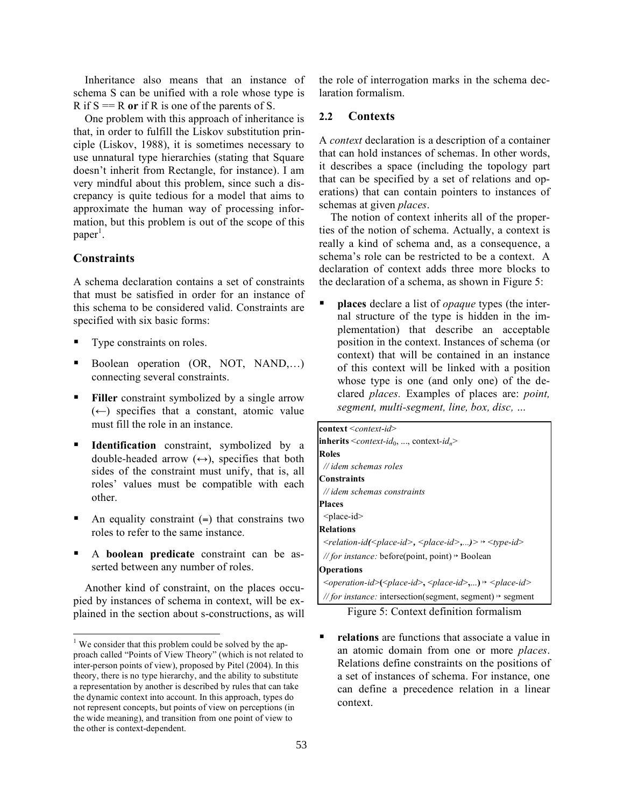Inheritance also means that an instance of schema S can be unified with a role whose type is R if  $S = R$  or if R is one of the parents of S.

One problem with this approach of inheritance is that, in order to fulfill the Liskov substitution principle (Liskov, 1988), it is sometimes necessary to use unnatural type hierarchies (stating that Square doesn't inherit from Rectangle, for instance). I am very mindful about this problem, since such a discrepancy is quite tedious for a model that aims to approximate the human way of processing information, but this problem is out of the scope of this paper<sup>1</sup>.

# **Constraints**

A schema declaration contains a set of constraints that must be satisfied in order for an instance of this schema to be considered valid. Constraints are specified with six basic forms:

- Type constraints on roles.
- Boolean operation (OR, NOT, NAND,…) connecting several constraints.
- Filler constraint symbolized by a single arrow  $(\leftarrow)$  specifies that a constant, atomic value must fill the role in an instance.
- **Identification** constraint, symbolized by a double-headed arrow  $(\leftrightarrow)$ , specifies that both sides of the constraint must unify, that is, all roles' values must be compatible with each other.
- An equality constraint  $(=)$  that constrains two roles to refer to the same instance.
- A **boolean predicate** constraint can be asserted between any number of roles.

Another kind of constraint, on the places occupied by instances of schema in context, will be explained in the section about s-constructions, as will the role of interrogation marks in the schema declaration formalism.

### **2.2 Contexts**

A *context* declaration is a description of a container that can hold instances of schemas. In other words, it describes a space (including the topology part that can be specified by a set of relations and operations) that can contain pointers to instances of schemas at given *places*.

The notion of context inherits all of the properties of the notion of schema. Actually, a context is really a kind of schema and, as a consequence, a schema's role can be restricted to be a context. A declaration of context adds three more blocks to the declaration of a schema, as shown in Figure 5:

 **places** declare a list of *opaque* types (the internal structure of the type is hidden in the implementation) that describe an acceptable position in the context. Instances of schema (or context) that will be contained in an instance of this context will be linked with a position whose type is one (and only one) of the declared *places.* Examples of places are: *point, segment, multi-segment, line, box, disc, …*

| $\text{context} \leq \text{context-id}$                                                                    |
|------------------------------------------------------------------------------------------------------------|
| <b>inherits</b> $\leq$ <i>context-id</i> <sub>0</sub> , , context- <i>id</i> <sub>n</sub>                  |
| <b>Roles</b>                                                                                               |
| $\#$ //idem schemas roles                                                                                  |
| <b>Constraints</b>                                                                                         |
| // idem schemas constraints                                                                                |
| <b>Places</b>                                                                                              |
| $<$ place-id $>$                                                                                           |
| <b>Relations</b>                                                                                           |
| $\le$ relation-id( $\le$ place-id>, $\le$ place-id>,)> $\rightarrow \le$ type-id>                          |
| //for instance: before(point, point) $\rightarrow$ Boolean                                                 |
| <b>Operations</b>                                                                                          |
| $\langle$ operation-id> $(\langle$ place-id>, $\langle$ place-id>, $\rangle \rightarrow \langle$ place-id> |
| <i>// for instance:</i> intersection(segment, segment) $\rightarrow$ segment                               |

Figure 5: Context definition formalism

**relations** are functions that associate a value in an atomic domain from one or more *places*. Relations define constraints on the positions of a set of instances of schema. For instance, one can define a precedence relation in a linear context.

 $1$  We consider that this problem could be solved by the approach called "Points of View Theory" (which is not related to inter-person points of view), proposed by Pitel (2004). In this theory, there is no type hierarchy, and the ability to substitute a representation by another is described by rules that can take the dynamic context into account. In this approach, types do not represent concepts, but points of view on perceptions (in the wide meaning), and transition from one point of view to the other is context-dependent.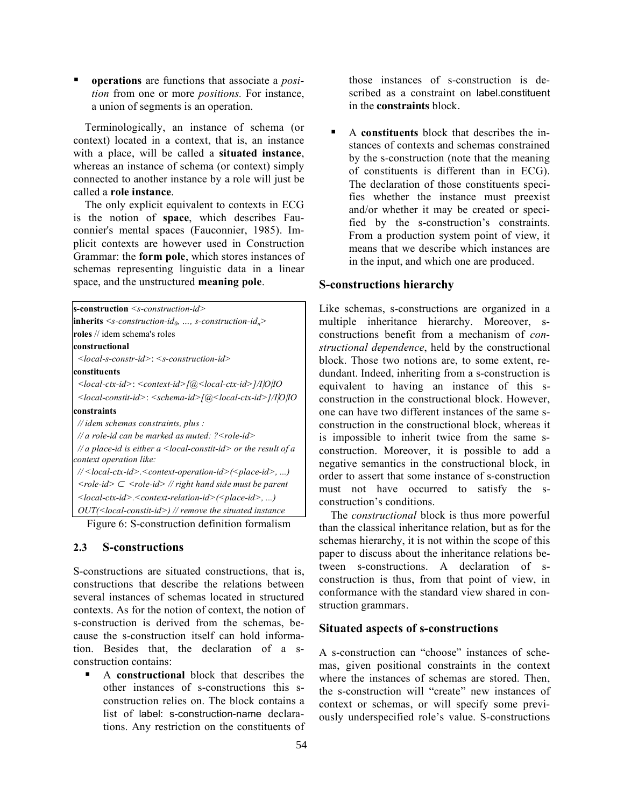**operations** are functions that associate a *position* from one or more *positions.* For instance, a union of segments is an operation.

Terminologically, an instance of schema (or context) located in a context, that is, an instance with a place, will be called a **situated instance**, whereas an instance of schema (or context) simply connected to another instance by a role will just be called a **role instance**.

The only explicit equivalent to contexts in ECG is the notion of **space**, which describes Fauconnier's mental spaces (Fauconnier, 1985). Implicit contexts are however used in Construction Grammar: the **form pole**, which stores instances of schemas representing linguistic data in a linear space, and the unstructured **meaning pole**.

| <b>s-construction</b> <s-construction-id></s-construction-id>                                           |
|---------------------------------------------------------------------------------------------------------|
| <b>inherits</b> $\leq s$ -construction-id <sub>0</sub> , , s-construction-id <sub>n</sub> >             |
| <b>roles</b> // idem schema's roles                                                                     |
| constructional                                                                                          |
| $\le$ local-s-constr-id>: $\le$ s-construction-id>                                                      |
| constituents                                                                                            |
| $\langle$ local-ctx-id>: $\langle$ context-id> $\langle$ [@ $\langle$ local-ctx-id>]/I O IO             |
| <local-constit-id>: <schema-id>[@<local-ctx-id>]/I O IO</local-ctx-id></schema-id></local-constit-id>   |
| constraints                                                                                             |
| $\mathcal{N}$ idem schemas constraints, plus :                                                          |
| // a role-id can be marked as muted: ? < role-id>                                                       |
| // a place-id is either a $\leq$ local-constit-id> or the result of a<br>context operation like:        |
| // <local-ctx-id>.<context-operation-id>(<place-id>, )</place-id></context-operation-id></local-ctx-id> |
| $\langle$ role-id $\rangle \subset \langle$ role-id $\rangle$ // right hand side must be parent         |
| $\langle$ local-ctx-id>. $\langle$ context-relation-id> $(\langle$ place-id>,)                          |
| $OUT(\leq local\text{-}constit\text{-}id\geq)/\sqrt{r}$ remove the situated instance                    |
|                                                                                                         |

Figure 6: S-construction definition formalism

### **2.3 S-constructions**

S-constructions are situated constructions, that is, constructions that describe the relations between several instances of schemas located in structured contexts. As for the notion of context, the notion of s-construction is derived from the schemas, because the s-construction itself can hold information. Besides that, the declaration of a sconstruction contains:

 A **constructional** block that describes the other instances of s-constructions this sconstruction relies on. The block contains a list of label: s-construction-name declarations. Any restriction on the constituents of those instances of s-construction is described as a constraint on label.constituent in the **constraints** block.

 A **constituents** block that describes the instances of contexts and schemas constrained by the s-construction (note that the meaning of constituents is different than in ECG). The declaration of those constituents specifies whether the instance must preexist and/or whether it may be created or specified by the s-construction's constraints. From a production system point of view, it means that we describe which instances are in the input, and which one are produced.

# **S-constructions hierarchy**

Like schemas, s-constructions are organized in a multiple inheritance hierarchy. Moreover, sconstructions benefit from a mechanism of *constructional dependence*, held by the constructional block. Those two notions are, to some extent, redundant. Indeed, inheriting from a s-construction is equivalent to having an instance of this sconstruction in the constructional block. However, one can have two different instances of the same sconstruction in the constructional block, whereas it is impossible to inherit twice from the same sconstruction. Moreover, it is possible to add a negative semantics in the constructional block, in order to assert that some instance of s-construction must not have occurred to satisfy the sconstruction's conditions.

The *constructional* block is thus more powerful than the classical inheritance relation, but as for the schemas hierarchy, it is not within the scope of this paper to discuss about the inheritance relations between s-constructions. A declaration of sconstruction is thus, from that point of view, in conformance with the standard view shared in construction grammars.

# **Situated aspects of s-constructions**

A s-construction can "choose" instances of schemas, given positional constraints in the context where the instances of schemas are stored. Then, the s-construction will "create" new instances of context or schemas, or will specify some previously underspecified role's value. S-constructions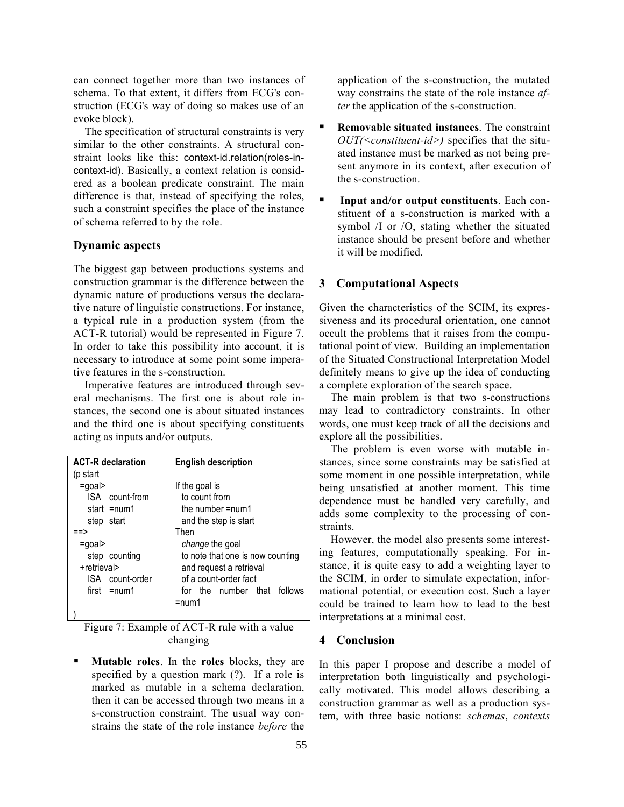can connect together more than two instances of schema. To that extent, it differs from ECG's construction (ECG's way of doing so makes use of an evoke block).

The specification of structural constraints is very similar to the other constraints. A structural constraint looks like this: context-id.relation(roles-incontext-id). Basically, a context relation is considered as a boolean predicate constraint. The main difference is that, instead of specifying the roles, such a constraint specifies the place of the instance of schema referred to by the role.

### **Dynamic aspects**

The biggest gap between productions systems and construction grammar is the difference between the dynamic nature of productions versus the declarative nature of linguistic constructions. For instance, a typical rule in a production system (from the ACT-R tutorial) would be represented in Figure 7. In order to take this possibility into account, it is necessary to introduce at some point some imperative features in the s-construction.

Imperative features are introduced through several mechanisms. The first one is about role instances, the second one is about situated instances and the third one is about specifying constituents acting as inputs and/or outputs.

| <b>ACT-R</b> declaration | <b>English description</b>       |
|--------------------------|----------------------------------|
| (p start                 |                                  |
| $=$ goal>                | If the goal is                   |
| ISA count-from           | to count from                    |
| start $=$ num1           | the number =num1                 |
| step start               | and the step is start            |
| ≔>                       | Then                             |
| $=$ goal>                | change the goal                  |
| step counting            | to note that one is now counting |
| +retrieval>              | and request a retrieval          |
| ISA count-order          | of a count-order fact            |
| $first = num1$           | for the number that follows      |
|                          | $=$ num1                         |
|                          |                                  |
|                          |                                  |

Figure 7: Example of ACT-R rule with a value changing

 **Mutable roles**. In the **roles** blocks, they are specified by a question mark (?). If a role is marked as mutable in a schema declaration, then it can be accessed through two means in a s-construction constraint. The usual way constrains the state of the role instance *before* the application of the s-construction, the mutated way constrains the state of the role instance *after* the application of the s-construction.

- **Removable situated instances**. The constraint *OUT(<constituent-id>)* specifies that the situated instance must be marked as not being present anymore in its context, after execution of the s-construction.
- **Input and/or output constituents**. Each constituent of a s-construction is marked with a symbol /I or /O, stating whether the situated instance should be present before and whether it will be modified.

### **3 Computational Aspects**

Given the characteristics of the SCIM, its expressiveness and its procedural orientation, one cannot occult the problems that it raises from the computational point of view. Building an implementation of the Situated Constructional Interpretation Model definitely means to give up the idea of conducting a complete exploration of the search space.

The main problem is that two s-constructions may lead to contradictory constraints. In other words, one must keep track of all the decisions and explore all the possibilities.

The problem is even worse with mutable instances, since some constraints may be satisfied at some moment in one possible interpretation, while being unsatisfied at another moment. This time dependence must be handled very carefully, and adds some complexity to the processing of constraints.

However, the model also presents some interesting features, computationally speaking. For instance, it is quite easy to add a weighting layer to the SCIM, in order to simulate expectation, informational potential, or execution cost. Such a layer could be trained to learn how to lead to the best interpretations at a minimal cost.

### **4 Conclusion**

In this paper I propose and describe a model of interpretation both linguistically and psychologically motivated. This model allows describing a construction grammar as well as a production system, with three basic notions: *schemas*, *contexts*